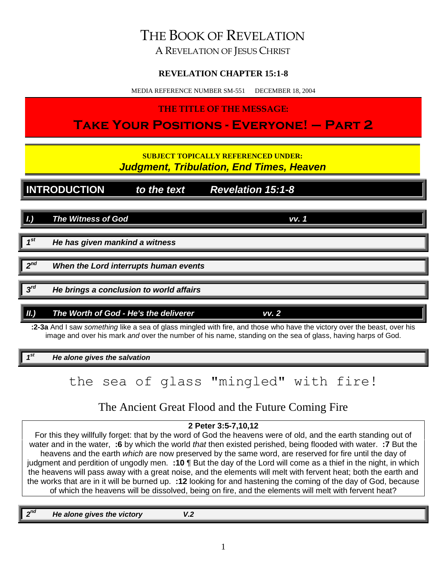# THE BOOK OF REVELATION

A REVELATION OF JESUS CHRIST

## **REVELATION CHAPTER 15:1-8**

MEDIA REFERENCE NUMBER SM-551 DECEMBER 18, 2004

**THE TITLE OF THE MESSAGE:**

**Take Your Positions - Everyone! – Part 2**

**SUBJECT TOPICALLY REFERENCED UNDER:** *Judgment, Tribulation, End Times, Heaven*

**INTRODUCTION** *to the text Revelation 15:1-8*

*I.) The Witness of God vv. 1*

*1 st He has given mankind a witness*

2<sup>nd</sup> *When the Lord interrupts human events* 

*3 He brings a conclusion to world affairs* 

*II.) The Worth of God - He's the deliverer vv. 2*

**:2-3a** And I saw *something* like a sea of glass mingled with fire, and those who have the victory over the beast, over his image and over his mark *and* over the number of his name, standing on the sea of glass, having harps of God.

**He alone gives the salvation** 

*1*

the sea of glass "mingled" with fire!

The Ancient Great Flood and the Future Coming Fire

## **2 Peter 3:5-7,10,12**

For this they willfully forget: that by the word of God the heavens were of old, and the earth standing out of water and in the water, **:6** by which the world *that* then existed perished, being flooded with water. **:7** But the heavens and the earth *which* are now preserved by the same word, are reserved for fire until the day of judgment and perdition of ungodly men. **:10** ¶ But the day of the Lord will come as a thief in the night, in which the heavens will pass away with a great noise, and the elements will melt with fervent heat; both the earth and the works that are in it will be burned up. **:12** looking for and hastening the coming of the day of God, because of which the heavens will be dissolved, being on fire, and the elements will melt with fervent heat?

*2 He alone gives the victory* V.2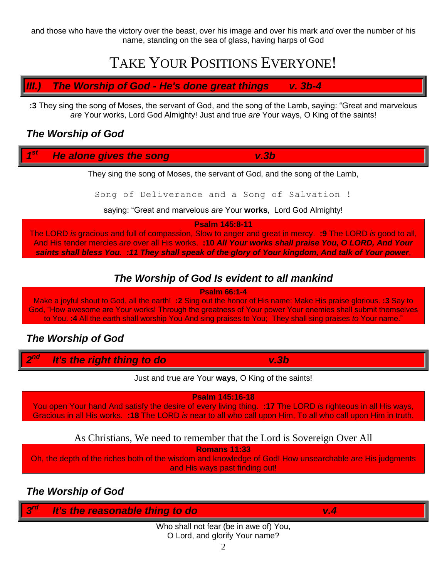and those who have the victory over the beast, over his image and over his mark *and* over the number of his name, standing on the sea of glass, having harps of God

# TAKE YOUR POSITIONS EVERYONE!

*III.) The Worship of God - He's done great things v. 3b-4*

**:3** They sing the song of Moses, the servant of God, and the song of the Lamb, saying: "Great and marvelous *are* Your works, Lord God Almighty! Just and true *are* Your ways, O King of the saints!

## *The Worship of God*

#### *1 State alone gives the song* v.3b

They sing the song of Moses, the servant of God, and the song of the Lamb,

Song of Deliverance and a Song of Salvation !

saying: "Great and marvelous *are* Your **works**, Lord God Almighty!

**Psalm 145:8-11**

The LORD *is* gracious and full of compassion, Slow to anger and great in mercy. **:9** The LORD *is* good to all, And His tender mercies *are* over all His works. **:10** *All Your works shall praise You, O LORD, And Your saints shall bless You. :11 They shall speak of the glory of Your kingdom, And talk of Your power*,

# *The Worship of God Is evident to all mankind*

**Psalm 66:1-4**

Make a joyful shout to God, all the earth! **:2** Sing out the honor of His name; Make His praise glorious. **:3** Say to God, "How awesome are Your works! Through the greatness of Your power Your enemies shall submit themselves to You. **:4** All the earth shall worship You And sing praises to You; They shall sing praises *to* Your name."

# *The Worship of God*

*2 nd It's the right thing to do v.3b*

Just and true *are* Your **ways**, O King of the saints!

**Psalm 145:16-18**

You open Your hand And satisfy the desire of every living thing. **:17** The LORD *is* righteous in all His ways, Gracious in all His works. **:18** The LORD *is* near to all who call upon Him, To all who call upon Him in truth.

As Christians, We need to remember that the Lord is Sovereign Over All

**Romans 11:33**

Oh, the depth of the riches both of the wisdom and knowledge of God! How unsearchable *are* His judgments and His ways past finding out!

# *The Worship of God*

| W | t's the reasonable thing to do<br>Æ                                                                                                                                                                                                                                                                                                                                                                                   | ш |  |
|---|-----------------------------------------------------------------------------------------------------------------------------------------------------------------------------------------------------------------------------------------------------------------------------------------------------------------------------------------------------------------------------------------------------------------------|---|--|
|   | $\mathbf{11} \mathbf{11} \mathbf{11} \mathbf{12} \mathbf{13} \mathbf{14} \mathbf{13} \mathbf{14} \mathbf{15} \mathbf{16} \mathbf{17} \mathbf{18} \mathbf{18} \mathbf{19} \mathbf{19} \mathbf{19} \mathbf{19} \mathbf{19} \mathbf{19} \mathbf{19} \mathbf{19} \mathbf{19} \mathbf{19} \mathbf{19} \mathbf{19} \mathbf{19} \mathbf{19} \mathbf{19} \mathbf{19} \mathbf{19} \mathbf{19} \mathbf$<br>$\sim$ $\sim$ $\sim$ |   |  |

Who shall not fear (be in awe of) You, O Lord, and glorify Your name?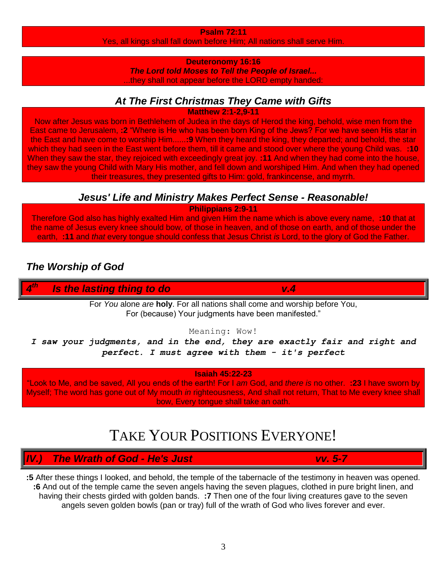### **Psalm 72:11**

Yes, all kings shall fall down before Him; All nations shall serve Him.

### **Deuteronomy 16:16**

*The Lord told Moses to Tell the People of Israel...* they shall not appear before the LORD empty handed:

## *At The First Christmas They Came with Gifts*

**Matthew 2:1-2,9-11**

Now after Jesus was born in Bethlehem of Judea in the days of Herod the king, behold, wise men from the East came to Jerusalem, **:2** "Where is He who has been born King of the Jews? For we have seen His star in the East and have come to worship Him......**:9** When they heard the king, they departed; and behold, the star which they had seen in the East went before them, till it came and stood over where the young Child was. **:10** When they saw the star, they rejoiced with exceedingly great joy. **:11** And when they had come into the house, they saw the young Child with Mary His mother, and fell down and worshiped Him. And when they had opened their treasures, they presented gifts to Him: gold, frankincense, and myrrh.

# *Jesus' Life and Ministry Makes Perfect Sense - Reasonable!*

**Philippians 2:9-11**

Therefore God also has highly exalted Him and given Him the name which is above every name, **:10** that at the name of Jesus every knee should bow, of those in heaven, and of those on earth, and of those under the earth, **:11** and *that* every tongue should confess that Jesus Christ *is* Lord, to the glory of God the Father.

# *The Worship of God*

*4 <u>is the lasting thing to do v.4</u> v.4* 

> For *You* alone *are* **holy**. For all nations shall come and worship before You, For (because) Your judgments have been manifested."

### Meaning: Wow!

*I saw your judgments, and in the end, they are exactly fair and right and perfect. I must agree with them - it's perfect*

### **Isaiah 45:22-23**

"Look to Me, and be saved, All you ends of the earth! For I *am* God, and *there is* no other. **:23** I have sworn by Myself; The word has gone out of My mouth *in* righteousness, And shall not return, That to Me every knee shall bow, Every tongue shall take an oath.

# TAKE YOUR POSITIONS EVERYONE!

*IV.) The Wrath of God - He's Just vv. 5-7*

**:5** After these things I looked, and behold, the temple of the tabernacle of the testimony in heaven was opened. **:6** And out of the temple came the seven angels having the seven plagues, clothed in pure bright linen, and having their chests girded with golden bands. **:7** Then one of the four living creatures gave to the seven angels seven golden bowls (pan or tray) full of the wrath of God who lives forever and ever.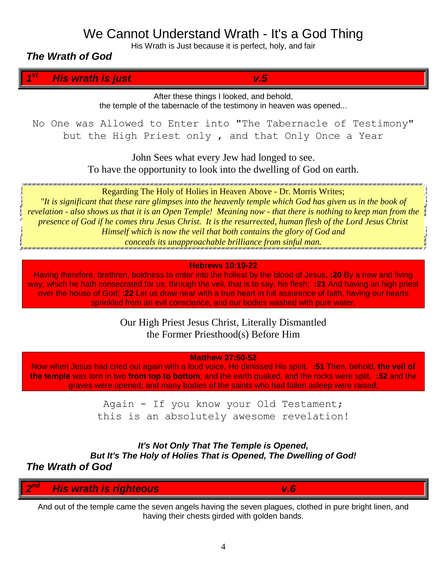# We Cannot Understand Wrath - It's a God Thing

His Wrath is Just because it is perfect, holy, and fair

*The Wrath of God*

*1 st His wrath is just v.5*

After these things I looked, and behold, the temple of the tabernacle of the testimony in heaven was opened...

No One was Allowed to Enter into "The Tabernacle of Testimony" but the High Priest only , and that Only Once a Year

> John Sees what every Jew had longed to see. To have the opportunity to look into the dwelling of God on earth.

Regarding The Holy of Holies in Heaven Above - Dr. Morris Writes;

*"It is significant that these rare glimpses into the heavenly temple which God has given us in the book of revelation - also shows us that it is an Open Temple! Meaning now - that there is nothing to keep man from the presence of God if he comes thru Jesus Christ. It is the resurrected, human flesh of the Lord Jesus Christ Himself which is now the veil that both contains the glory of God and conceals its unapproachable brilliance from sinful man.*

### **Hebrews 10:19-22**

Having therefore, brethren, boldness to enter into the holiest by the blood of Jesus, **:20** By a new and living way, which he hath consecrated for us, through the veil, that is to say, his flesh; **:21** And having an high priest over the house of God; **:22** Let us draw near with a true heart in full assurance of faith, having our hearts sprinkled from an evil conscience, and our bodies washed with pure water.

> Our High Priest Jesus Christ, Literally Dismantled the Former Priesthood(s) Before Him

> > **Matthew 27:50-52**

Now when Jesus had cried out again with a loud voice, He dimissed His spirit. **:51** Then, behold, **the veil of the temple** was torn in two **from top to bottom**; and the earth quaked, and the rocks were split, **:52** and the graves were opened; and many bodies of the saints who had fallen asleep were raised;

> Again - If you know your Old Testament; this is an absolutely awesome revelation!

*It's Not Only That The Temple is Opened, But It's The Holy of Holies That is Opened, The Dwelling of God! The Wrath of God*

*2 nd His wrath is righteous* v.6

And out of the temple came the seven angels having the seven plagues, clothed in pure bright linen, and having their chests girded with golden bands.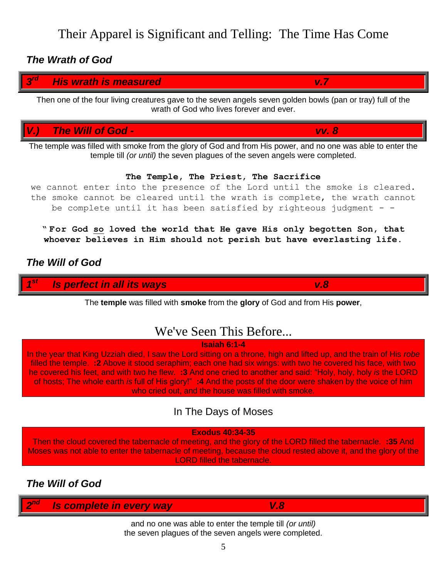Their Apparel is Significant and Telling: The Time Has Come

### *The Wrath of God*

#### *3 rd His wrath is measured v.7*

Then one of the four living creatures gave to the seven angels seven golden bowls (pan or tray) full of the wrath of God who lives forever and ever.

*V.) The Will of God - vv. 8*

The temple was filled with smoke from the glory of God and from His power, and no one was able to enter the temple till *(or until)* the seven plagues of the seven angels were completed.

### **The Temple, The Priest, The Sacrifice**

we cannot enter into the presence of the Lord until the smoke is cleared. the smoke cannot be cleared until the wrath is complete, the wrath cannot be complete until it has been satisfied by righteous judgment - -

**" For God so loved the world that He gave His only begotten Son, that whoever believes in Him should not perish but have everlasting life.**

## *The Will of God*

*1 s v.8 v.8* 

### The **temple** was filled with **smoke** from the **glory** of God and from His **power**,

# We've Seen This Before...

### **Isaiah 6:1-4**

In the year that King Uzziah died, I saw the Lord sitting on a throne, high and lifted up, and the train of His *robe* filled the temple. **:2** Above it stood seraphim; each one had six wings: with two he covered his face, with two he covered his feet, and with two he flew. **:3** And one cried to another and said: "Holy, holy, holy *is* the LORD of hosts; The whole earth *is* full of His glory!" **:4** And the posts of the door were shaken by the voice of him who cried out, and the house was filled with smoke.

# In The Days of Moses

### **Exodus 40:34-35**

Then the cloud covered the tabernacle of meeting, and the glory of the LORD filled the tabernacle. **:35** And Moses was not able to enter the tabernacle of meeting, because the cloud rested above it, and the glory of the LORD filled the tabernacle.

## *The Will of God*

| <b>College College</b> | LIAMLE 14/01/<br><b>olete</b><br><b>CONTRACTOR</b><br>In<br><b>COLLE</b><br><b>Contract Contract</b><br>a an<br>е<br>м<br>a<br>- 4<br>$\sim$<br>$\sim$<br>$\sim$ | ×<br>$\sim$<br>m |  |
|------------------------|------------------------------------------------------------------------------------------------------------------------------------------------------------------|------------------|--|
|                        |                                                                                                                                                                  |                  |  |

and no one was able to enter the temple till *(or until)* the seven plagues of the seven angels were completed.